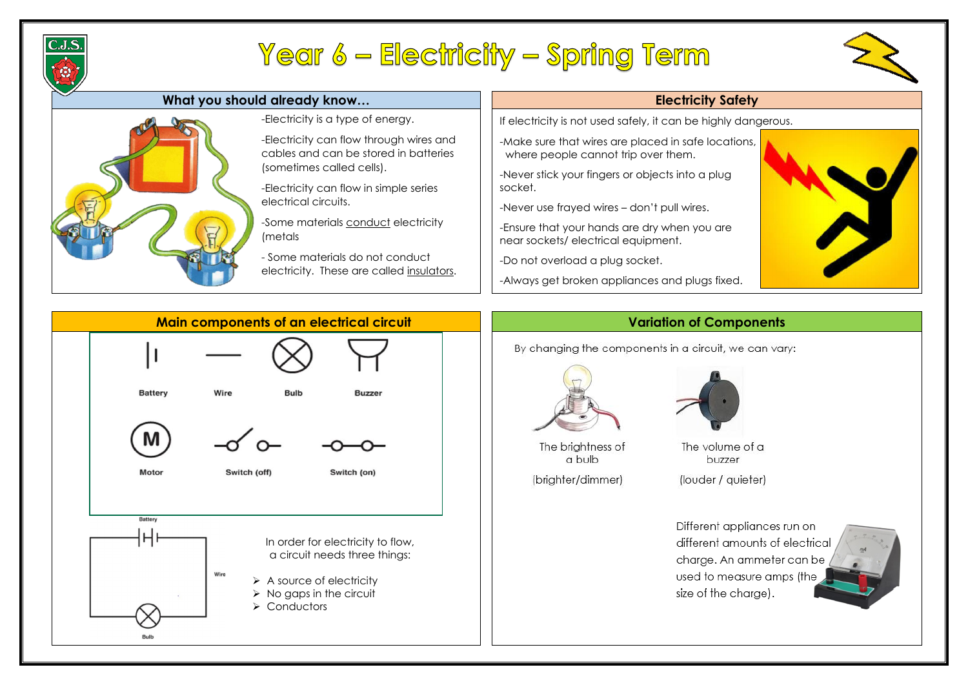

# Year 6 – Electricity – Spring Term

### **What you should already know… Electricity Safety**



-Make sure that wires are placed in safe locations, where people cannot trip over them.

If electricity is not used safely, it can be highly dangerous.

-Never stick your fingers or objects into a plug socket.

-Never use frayed wires – don't pull wires.

-Ensure that your hands are dry when you are near sockets/ electrical equipment.

-Do not overload a plug socket.

-Always get broken appliances and plugs fixed.



By changing the components in a circuit, we can vary:





The brightness of a bulb

(brighter/dimmer)

Different appliances run on different amounts of electrical charge. An ammeter can be used to measure amps (the size of the charge).





The volume of a buzzer

(louder / quieter)

### -Electricity is a type of energy.

-Electricity can flow through wires and cables and can be stored in batteries (sometimes called cells).

-Electricity can flow in simple series electrical circuits.

-Some materials conduct electricity (metals

- Some materials do not conduct electricity. These are called insulators.